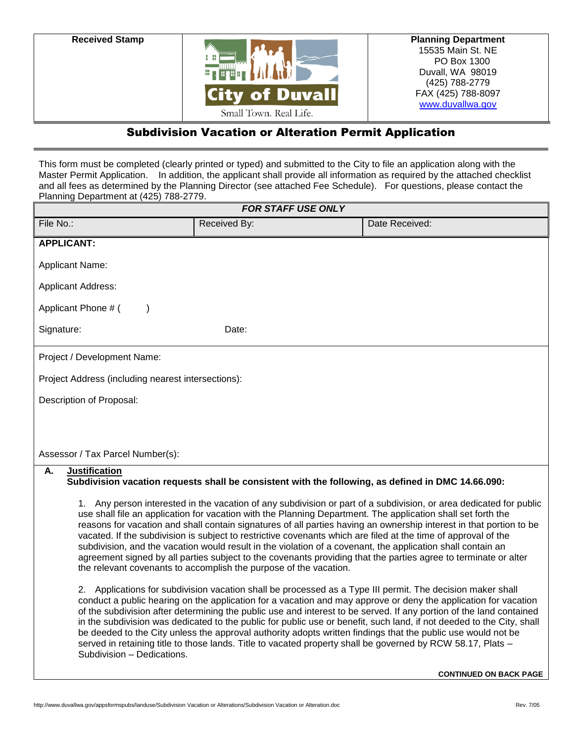

15535 Main St. NE PO Box 1300 Duvall, WA 98019 (425) 788-2779 FAX (425) 788-8097 [www.duvallwa.gov](http://www.duvallwa.gov/)

## Subdivision Vacation or Alteration Permit Application

This form must be completed (clearly printed or typed) and submitted to the City to file an application along with the Master Permit Application. In addition, the applicant shall provide all information as required by the attached checklist and all fees as determined by the Planning Director (see attached Fee Schedule). For questions, please contact the Planning Department at (425) 788-2779.

| <b>FOR STAFF USE ONLY</b>                                                                                                                                                                                                                                                                                                                                                                                                                                                                                                                                                                                                                                                                                                                                                          |              |                |
|------------------------------------------------------------------------------------------------------------------------------------------------------------------------------------------------------------------------------------------------------------------------------------------------------------------------------------------------------------------------------------------------------------------------------------------------------------------------------------------------------------------------------------------------------------------------------------------------------------------------------------------------------------------------------------------------------------------------------------------------------------------------------------|--------------|----------------|
| File No.:                                                                                                                                                                                                                                                                                                                                                                                                                                                                                                                                                                                                                                                                                                                                                                          | Received By: | Date Received: |
| <b>APPLICANT:</b>                                                                                                                                                                                                                                                                                                                                                                                                                                                                                                                                                                                                                                                                                                                                                                  |              |                |
| <b>Applicant Name:</b>                                                                                                                                                                                                                                                                                                                                                                                                                                                                                                                                                                                                                                                                                                                                                             |              |                |
| <b>Applicant Address:</b>                                                                                                                                                                                                                                                                                                                                                                                                                                                                                                                                                                                                                                                                                                                                                          |              |                |
| Applicant Phone # (<br>$\lambda$                                                                                                                                                                                                                                                                                                                                                                                                                                                                                                                                                                                                                                                                                                                                                   |              |                |
| Signature:                                                                                                                                                                                                                                                                                                                                                                                                                                                                                                                                                                                                                                                                                                                                                                         | Date:        |                |
| Project / Development Name:                                                                                                                                                                                                                                                                                                                                                                                                                                                                                                                                                                                                                                                                                                                                                        |              |                |
| Project Address (including nearest intersections):                                                                                                                                                                                                                                                                                                                                                                                                                                                                                                                                                                                                                                                                                                                                 |              |                |
| Description of Proposal:                                                                                                                                                                                                                                                                                                                                                                                                                                                                                                                                                                                                                                                                                                                                                           |              |                |
|                                                                                                                                                                                                                                                                                                                                                                                                                                                                                                                                                                                                                                                                                                                                                                                    |              |                |
|                                                                                                                                                                                                                                                                                                                                                                                                                                                                                                                                                                                                                                                                                                                                                                                    |              |                |
| Assessor / Tax Parcel Number(s):<br><b>Justification</b><br>А.                                                                                                                                                                                                                                                                                                                                                                                                                                                                                                                                                                                                                                                                                                                     |              |                |
| Subdivision vacation requests shall be consistent with the following, as defined in DMC 14.66.090:                                                                                                                                                                                                                                                                                                                                                                                                                                                                                                                                                                                                                                                                                 |              |                |
| 1. Any person interested in the vacation of any subdivision or part of a subdivision, or area dedicated for public<br>use shall file an application for vacation with the Planning Department. The application shall set forth the<br>reasons for vacation and shall contain signatures of all parties having an ownership interest in that portion to be<br>vacated. If the subdivision is subject to restrictive covenants which are filed at the time of approval of the<br>subdivision, and the vacation would result in the violation of a covenant, the application shall contain an<br>agreement signed by all parties subject to the covenants providing that the parties agree to terminate or alter<br>the relevant covenants to accomplish the purpose of the vacation. |              |                |
| Applications for subdivision vacation shall be processed as a Type III permit. The decision maker shall<br>2.<br>conduct a public hearing on the application for a vacation and may approve or deny the application for vacation<br>of the subdivision after determining the public use and interest to be served. If any portion of the land contained<br>in the subdivision was dedicated to the public for public use or benefit, such land, if not deeded to the City, shall<br>be deeded to the City unless the approval authority adopts written findings that the public use would not be<br>served in retaining title to those lands. Title to vacated property shall be governed by RCW 58.17, Plats -                                                                    |              |                |

Subdivision – Dedications.

**CONTINUED ON BACK PAGE**